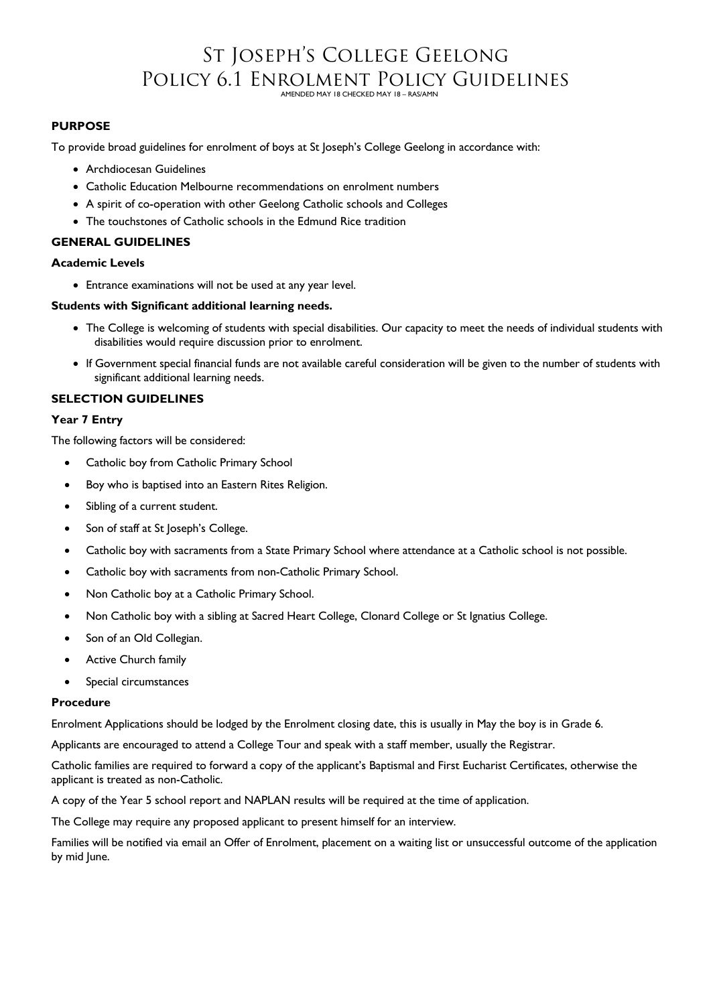## St Joseph's College Geelong Policy 6.1 Enrolment Policy Guidelines

#### AMENDED MAY 18 CHECKED MAY 18 – RAS/AMN

#### **PURPOSE**

To provide broad guidelines for enrolment of boys at St Joseph's College Geelong in accordance with:

- Archdiocesan Guidelines
- Catholic Education Melbourne recommendations on enrolment numbers
- A spirit of co-operation with other Geelong Catholic schools and Colleges
- The touchstones of Catholic schools in the Edmund Rice tradition

#### **GENERAL GUIDELINES**

#### **Academic Levels**

Entrance examinations will not be used at any year level.

#### **Students with Significant additional learning needs.**

- The College is welcoming of students with special disabilities. Our capacity to meet the needs of individual students with disabilities would require discussion prior to enrolment.
- If Government special financial funds are not available careful consideration will be given to the number of students with significant additional learning needs.

#### **SELECTION GUIDELINES**

#### **Year 7 Entry**

The following factors will be considered:

- Catholic boy from Catholic Primary School
- Boy who is baptised into an Eastern Rites Religion.
- Sibling of a current student.
- Son of staff at St Joseph's College.
- Catholic boy with sacraments from a State Primary School where attendance at a Catholic school is not possible.
- Catholic boy with sacraments from non-Catholic Primary School.
- Non Catholic boy at a Catholic Primary School.
- Non Catholic boy with a sibling at Sacred Heart College, Clonard College or St Ignatius College.
- Son of an Old Collegian.
- Active Church family
- Special circumstances

#### **Procedure**

Enrolment Applications should be lodged by the Enrolment closing date, this is usually in May the boy is in Grade 6.

Applicants are encouraged to attend a College Tour and speak with a staff member, usually the Registrar.

Catholic families are required to forward a copy of the applicant's Baptismal and First Eucharist Certificates, otherwise the applicant is treated as non-Catholic.

A copy of the Year 5 school report and NAPLAN results will be required at the time of application.

The College may require any proposed applicant to present himself for an interview.

Families will be notified via email an Offer of Enrolment, placement on a waiting list or unsuccessful outcome of the application by mid June.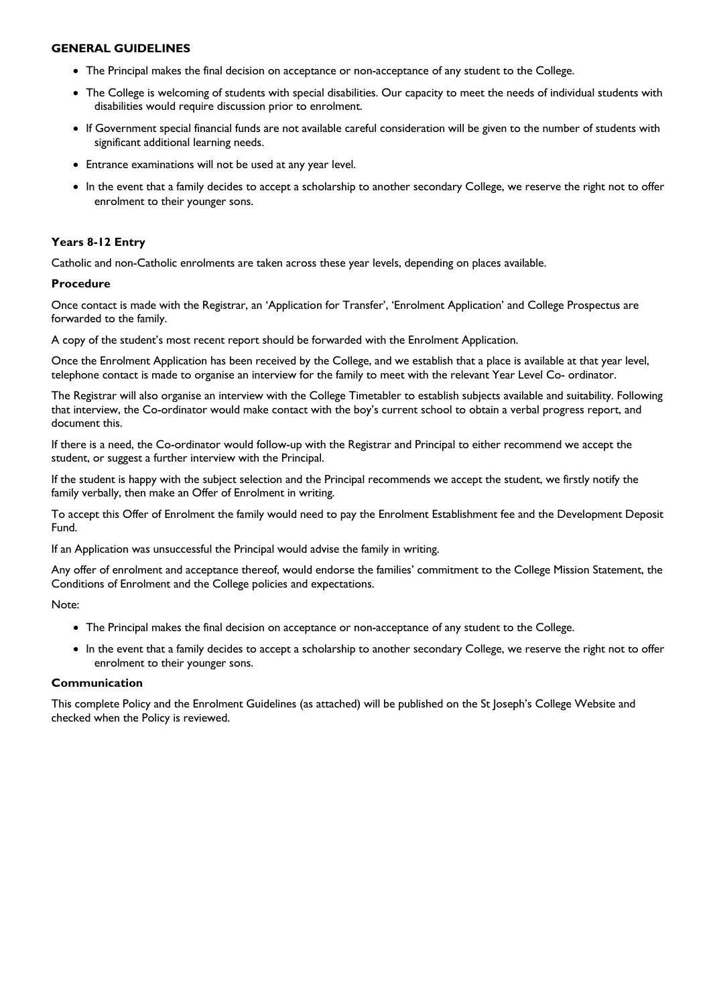#### **GENERAL GUIDELINES**

- The Principal makes the final decision on acceptance or non-acceptance of any student to the College.
- The College is welcoming of students with special disabilities. Our capacity to meet the needs of individual students with disabilities would require discussion prior to enrolment.
- If Government special financial funds are not available careful consideration will be given to the number of students with significant additional learning needs.
- Entrance examinations will not be used at any year level.
- In the event that a family decides to accept a scholarship to another secondary College, we reserve the right not to offer enrolment to their younger sons.

#### **Years 8-12 Entry**

Catholic and non-Catholic enrolments are taken across these year levels, depending on places available.

#### **Procedure**

Once contact is made with the Registrar, an 'Application for Transfer', 'Enrolment Application' and College Prospectus are forwarded to the family.

A copy of the student's most recent report should be forwarded with the Enrolment Application.

Once the Enrolment Application has been received by the College, and we establish that a place is available at that year level, telephone contact is made to organise an interview for the family to meet with the relevant Year Level Co- ordinator.

The Registrar will also organise an interview with the College Timetabler to establish subjects available and suitability. Following that interview, the Co-ordinator would make contact with the boy's current school to obtain a verbal progress report, and document this.

If there is a need, the Co-ordinator would follow-up with the Registrar and Principal to either recommend we accept the student, or suggest a further interview with the Principal.

If the student is happy with the subject selection and the Principal recommends we accept the student, we firstly notify the family verbally, then make an Offer of Enrolment in writing.

To accept this Offer of Enrolment the family would need to pay the Enrolment Establishment fee and the Development Deposit Fund.

If an Application was unsuccessful the Principal would advise the family in writing.

Any offer of enrolment and acceptance thereof, would endorse the families' commitment to the College Mission Statement, the Conditions of Enrolment and the College policies and expectations.

Note:

- The Principal makes the final decision on acceptance or non-acceptance of any student to the College.
- In the event that a family decides to accept a scholarship to another secondary College, we reserve the right not to offer enrolment to their younger sons.

#### **Communication**

This complete Policy and the Enrolment Guidelines (as attached) will be published on the St Joseph's College Website and checked when the Policy is reviewed.